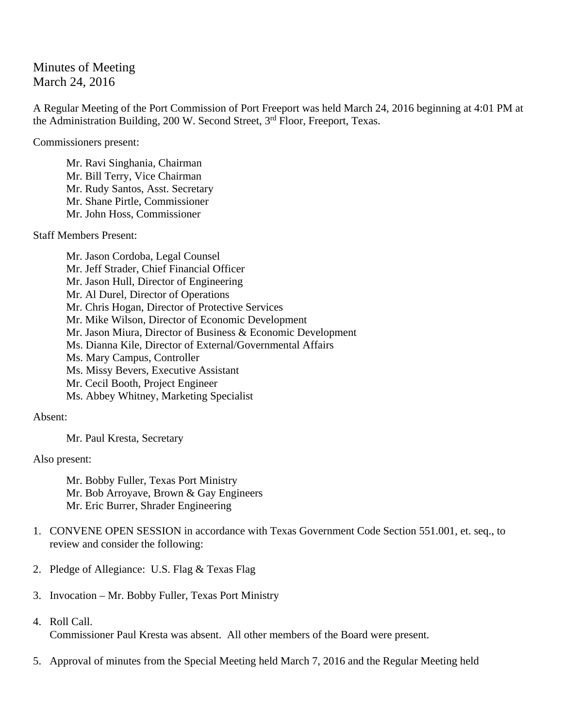## Minutes of Meeting March 24, 2016

A Regular Meeting of the Port Commission of Port Freeport was held March 24, 2016 beginning at 4:01 PM at the Administration Building, 200 W. Second Street, 3<sup>rd</sup> Floor, Freeport, Texas.

Commissioners present:

Mr. Ravi Singhania, Chairman Mr. Bill Terry, Vice Chairman Mr. Rudy Santos, Asst. Secretary Mr. Shane Pirtle, Commissioner Mr. John Hoss, Commissioner

Staff Members Present:

 Mr. Jason Cordoba, Legal Counsel Mr. Jeff Strader, Chief Financial Officer Mr. Jason Hull, Director of Engineering Mr. Al Durel, Director of Operations Mr. Chris Hogan, Director of Protective Services Mr. Mike Wilson, Director of Economic Development Mr. Jason Miura, Director of Business & Economic Development Ms. Dianna Kile, Director of External/Governmental Affairs Ms. Mary Campus, Controller Ms. Missy Bevers, Executive Assistant Mr. Cecil Booth, Project Engineer Ms. Abbey Whitney, Marketing Specialist

Absent:

Mr. Paul Kresta, Secretary

Also present:

 Mr. Bobby Fuller, Texas Port Ministry Mr. Bob Arroyave, Brown & Gay Engineers Mr. Eric Burrer, Shrader Engineering

- 1. CONVENE OPEN SESSION in accordance with Texas Government Code Section 551.001, et. seq., to review and consider the following:
- 2. Pledge of Allegiance: U.S. Flag & Texas Flag
- 3. Invocation Mr. Bobby Fuller, Texas Port Ministry
- 4. Roll Call.

Commissioner Paul Kresta was absent. All other members of the Board were present.

5. Approval of minutes from the Special Meeting held March 7, 2016 and the Regular Meeting held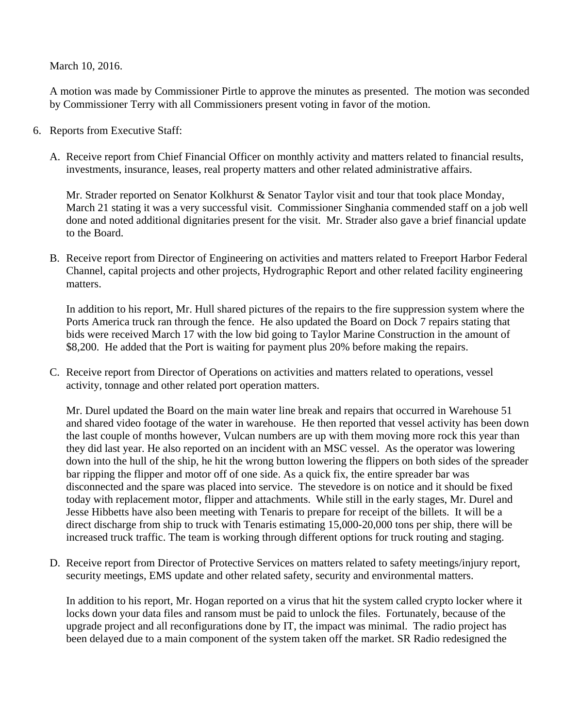March 10, 2016.

A motion was made by Commissioner Pirtle to approve the minutes as presented. The motion was seconded by Commissioner Terry with all Commissioners present voting in favor of the motion.

- 6. Reports from Executive Staff:
	- A. Receive report from Chief Financial Officer on monthly activity and matters related to financial results, investments, insurance, leases, real property matters and other related administrative affairs.

Mr. Strader reported on Senator Kolkhurst & Senator Taylor visit and tour that took place Monday, March 21 stating it was a very successful visit. Commissioner Singhania commended staff on a job well done and noted additional dignitaries present for the visit. Mr. Strader also gave a brief financial update to the Board.

B. Receive report from Director of Engineering on activities and matters related to Freeport Harbor Federal Channel, capital projects and other projects, Hydrographic Report and other related facility engineering matters.

In addition to his report, Mr. Hull shared pictures of the repairs to the fire suppression system where the Ports America truck ran through the fence. He also updated the Board on Dock 7 repairs stating that bids were received March 17 with the low bid going to Taylor Marine Construction in the amount of \$8,200. He added that the Port is waiting for payment plus 20% before making the repairs.

C. Receive report from Director of Operations on activities and matters related to operations, vessel activity, tonnage and other related port operation matters.

Mr. Durel updated the Board on the main water line break and repairs that occurred in Warehouse 51 and shared video footage of the water in warehouse. He then reported that vessel activity has been down the last couple of months however, Vulcan numbers are up with them moving more rock this year than they did last year. He also reported on an incident with an MSC vessel. As the operator was lowering down into the hull of the ship, he hit the wrong button lowering the flippers on both sides of the spreader bar ripping the flipper and motor off of one side. As a quick fix, the entire spreader bar was disconnected and the spare was placed into service. The stevedore is on notice and it should be fixed today with replacement motor, flipper and attachments. While still in the early stages, Mr. Durel and Jesse Hibbetts have also been meeting with Tenaris to prepare for receipt of the billets. It will be a direct discharge from ship to truck with Tenaris estimating 15,000-20,000 tons per ship, there will be increased truck traffic. The team is working through different options for truck routing and staging.

D. Receive report from Director of Protective Services on matters related to safety meetings/injury report, security meetings, EMS update and other related safety, security and environmental matters.

In addition to his report, Mr. Hogan reported on a virus that hit the system called crypto locker where it locks down your data files and ransom must be paid to unlock the files. Fortunately, because of the upgrade project and all reconfigurations done by IT, the impact was minimal. The radio project has been delayed due to a main component of the system taken off the market. SR Radio redesigned the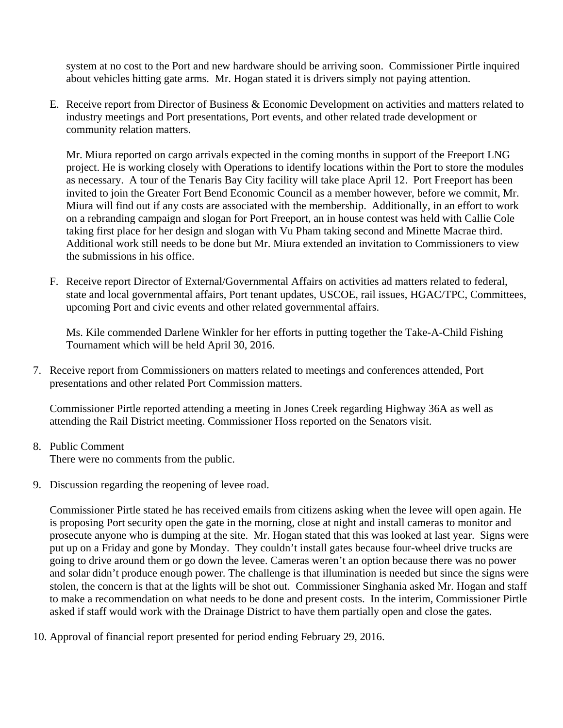system at no cost to the Port and new hardware should be arriving soon. Commissioner Pirtle inquired about vehicles hitting gate arms. Mr. Hogan stated it is drivers simply not paying attention.

E. Receive report from Director of Business & Economic Development on activities and matters related to industry meetings and Port presentations, Port events, and other related trade development or community relation matters.

Mr. Miura reported on cargo arrivals expected in the coming months in support of the Freeport LNG project. He is working closely with Operations to identify locations within the Port to store the modules as necessary. A tour of the Tenaris Bay City facility will take place April 12. Port Freeport has been invited to join the Greater Fort Bend Economic Council as a member however, before we commit, Mr. Miura will find out if any costs are associated with the membership. Additionally, in an effort to work on a rebranding campaign and slogan for Port Freeport, an in house contest was held with Callie Cole taking first place for her design and slogan with Vu Pham taking second and Minette Macrae third. Additional work still needs to be done but Mr. Miura extended an invitation to Commissioners to view the submissions in his office.

F. Receive report Director of External/Governmental Affairs on activities ad matters related to federal, state and local governmental affairs, Port tenant updates, USCOE, rail issues, HGAC/TPC, Committees, upcoming Port and civic events and other related governmental affairs.

Ms. Kile commended Darlene Winkler for her efforts in putting together the Take-A-Child Fishing Tournament which will be held April 30, 2016.

7. Receive report from Commissioners on matters related to meetings and conferences attended, Port presentations and other related Port Commission matters.

Commissioner Pirtle reported attending a meeting in Jones Creek regarding Highway 36A as well as attending the Rail District meeting. Commissioner Hoss reported on the Senators visit.

8. Public Comment

There were no comments from the public.

9. Discussion regarding the reopening of levee road.

Commissioner Pirtle stated he has received emails from citizens asking when the levee will open again. He is proposing Port security open the gate in the morning, close at night and install cameras to monitor and prosecute anyone who is dumping at the site. Mr. Hogan stated that this was looked at last year. Signs were put up on a Friday and gone by Monday. They couldn't install gates because four-wheel drive trucks are going to drive around them or go down the levee. Cameras weren't an option because there was no power and solar didn't produce enough power. The challenge is that illumination is needed but since the signs were stolen, the concern is that at the lights will be shot out. Commissioner Singhania asked Mr. Hogan and staff to make a recommendation on what needs to be done and present costs. In the interim, Commissioner Pirtle asked if staff would work with the Drainage District to have them partially open and close the gates.

10. Approval of financial report presented for period ending February 29, 2016.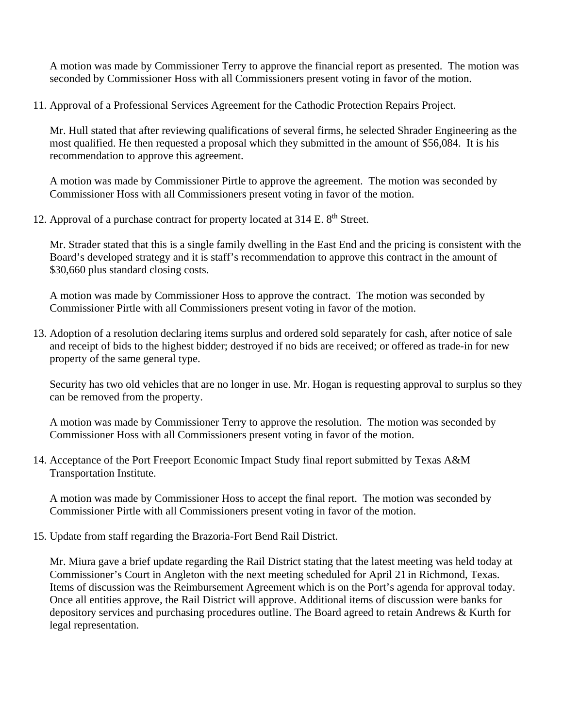A motion was made by Commissioner Terry to approve the financial report as presented. The motion was seconded by Commissioner Hoss with all Commissioners present voting in favor of the motion.

11. Approval of a Professional Services Agreement for the Cathodic Protection Repairs Project.

Mr. Hull stated that after reviewing qualifications of several firms, he selected Shrader Engineering as the most qualified. He then requested a proposal which they submitted in the amount of \$56,084. It is his recommendation to approve this agreement.

A motion was made by Commissioner Pirtle to approve the agreement. The motion was seconded by Commissioner Hoss with all Commissioners present voting in favor of the motion.

12. Approval of a purchase contract for property located at  $314$  E.  $8<sup>th</sup>$  Street.

Mr. Strader stated that this is a single family dwelling in the East End and the pricing is consistent with the Board's developed strategy and it is staff's recommendation to approve this contract in the amount of \$30,660 plus standard closing costs.

A motion was made by Commissioner Hoss to approve the contract. The motion was seconded by Commissioner Pirtle with all Commissioners present voting in favor of the motion.

13. Adoption of a resolution declaring items surplus and ordered sold separately for cash, after notice of sale and receipt of bids to the highest bidder; destroyed if no bids are received; or offered as trade-in for new property of the same general type.

Security has two old vehicles that are no longer in use. Mr. Hogan is requesting approval to surplus so they can be removed from the property.

A motion was made by Commissioner Terry to approve the resolution. The motion was seconded by Commissioner Hoss with all Commissioners present voting in favor of the motion.

14. Acceptance of the Port Freeport Economic Impact Study final report submitted by Texas A&M Transportation Institute.

A motion was made by Commissioner Hoss to accept the final report. The motion was seconded by Commissioner Pirtle with all Commissioners present voting in favor of the motion.

15. Update from staff regarding the Brazoria-Fort Bend Rail District.

Mr. Miura gave a brief update regarding the Rail District stating that the latest meeting was held today at Commissioner's Court in Angleton with the next meeting scheduled for April 21 in Richmond, Texas. Items of discussion was the Reimbursement Agreement which is on the Port's agenda for approval today. Once all entities approve, the Rail District will approve. Additional items of discussion were banks for depository services and purchasing procedures outline. The Board agreed to retain Andrews & Kurth for legal representation.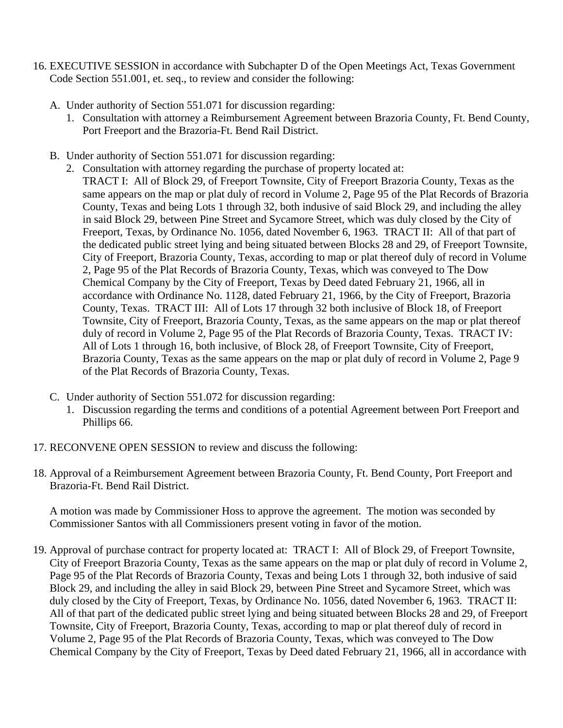- 16. EXECUTIVE SESSION in accordance with Subchapter D of the Open Meetings Act, Texas Government Code Section 551.001, et. seq., to review and consider the following:
	- A. Under authority of Section 551.071 for discussion regarding:
		- 1. Consultation with attorney a Reimbursement Agreement between Brazoria County, Ft. Bend County, Port Freeport and the Brazoria-Ft. Bend Rail District.
	- B. Under authority of Section 551.071 for discussion regarding:
		- 2. Consultation with attorney regarding the purchase of property located at: TRACT I: All of Block 29, of Freeport Townsite, City of Freeport Brazoria County, Texas as the same appears on the map or plat duly of record in Volume 2, Page 95 of the Plat Records of Brazoria County, Texas and being Lots 1 through 32, both indusive of said Block 29, and including the alley in said Block 29, between Pine Street and Sycamore Street, which was duly closed by the City of Freeport, Texas, by Ordinance No. 1056, dated November 6, 1963. TRACT II: All of that part of the dedicated public street lying and being situated between Blocks 28 and 29, of Freeport Townsite, City of Freeport, Brazoria County, Texas, according to map or plat thereof duly of record in Volume 2, Page 95 of the Plat Records of Brazoria County, Texas, which was conveyed to The Dow Chemical Company by the City of Freeport, Texas by Deed dated February 21, 1966, all in accordance with Ordinance No. 1128, dated February 21, 1966, by the City of Freeport, Brazoria County, Texas. TRACT III: All of Lots 17 through 32 both inclusive of Block 18, of Freeport Townsite, City of Freeport, Brazoria County, Texas, as the same appears on the map or plat thereof duly of record in Volume 2, Page 95 of the Plat Records of Brazoria County, Texas. TRACT IV: All of Lots 1 through 16, both inclusive, of Block 28, of Freeport Townsite, City of Freeport, Brazoria County, Texas as the same appears on the map or plat duly of record in Volume 2, Page 9 of the Plat Records of Brazoria County, Texas.
	- C. Under authority of Section 551.072 for discussion regarding:
		- 1. Discussion regarding the terms and conditions of a potential Agreement between Port Freeport and Phillips 66.
- 17. RECONVENE OPEN SESSION to review and discuss the following:
- 18. Approval of a Reimbursement Agreement between Brazoria County, Ft. Bend County, Port Freeport and Brazoria-Ft. Bend Rail District.

A motion was made by Commissioner Hoss to approve the agreement. The motion was seconded by Commissioner Santos with all Commissioners present voting in favor of the motion.

19. Approval of purchase contract for property located at: TRACT I: All of Block 29, of Freeport Townsite, City of Freeport Brazoria County, Texas as the same appears on the map or plat duly of record in Volume 2, Page 95 of the Plat Records of Brazoria County, Texas and being Lots 1 through 32, both indusive of said Block 29, and including the alley in said Block 29, between Pine Street and Sycamore Street, which was duly closed by the City of Freeport, Texas, by Ordinance No. 1056, dated November 6, 1963. TRACT II: All of that part of the dedicated public street lying and being situated between Blocks 28 and 29, of Freeport Townsite, City of Freeport, Brazoria County, Texas, according to map or plat thereof duly of record in Volume 2, Page 95 of the Plat Records of Brazoria County, Texas, which was conveyed to The Dow Chemical Company by the City of Freeport, Texas by Deed dated February 21, 1966, all in accordance with